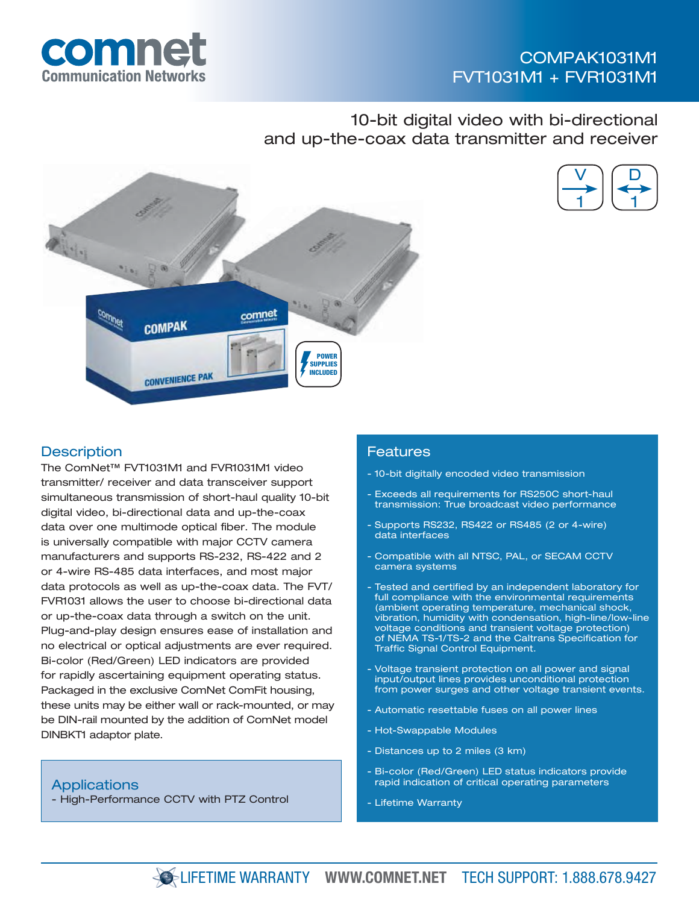

## COMPAK1031M1 FVT1031M1 + FVR1031M1

## 10-bit digital video with bi-directional and up-the-coax data transmitter and receiver





#### **Description**

The ComNet™ FVT1031M1 and FVR1031M1 video transmitter/ receiver and data transceiver support simultaneous transmission of short-haul quality 10-bit digital video, bi-directional data and up-the-coax data over one multimode optical fiber. The module is universally compatible with major CCTV camera manufacturers and supports RS-232, RS-422 and 2 or 4-wire RS-485 data interfaces, and most major data protocols as well as up-the-coax data. The FVT/ FVR1031 allows the user to choose bi-directional data or up-the-coax data through a switch on the unit. Plug-and-play design ensures ease of installation and no electrical or optical adjustments are ever required. Bi-color (Red/Green) LED indicators are provided for rapidly ascertaining equipment operating status. Packaged in the exclusive ComNet ComFit housing, these units may be either wall or rack-mounted, or may be DIN-rail mounted by the addition of ComNet model DINBKT1 adaptor plate.

**Applications** - High-Performance CCTV with PTZ Control

#### **Features**

- 10-bit digitally encoded video transmission
- Exceeds all requirements for RS250C short-haul transmission: True broadcast video performance
- Supports RS232, RS422 or RS485 (2 or 4-wire) data interfaces
- Compatible with all NTSC, PAL, or SECAM CCTV camera systems
- Tested and certified by an independent laboratory for full compliance with the environmental requirements (ambient operating temperature, mechanical shock, vibration, humidity with condensation, high-line/low-line voltage conditions and transient voltage protection) of NEMA TS-1/TS-2 and the Caltrans Specification for Traffic Signal Control Equipment.
- Voltage transient protection on all power and signal input/output lines provides unconditional protection from power surges and other voltage transient events.
- Automatic resettable fuses on all power lines
- Hot-Swappable Modules
- Distances up to 2 miles (3 km)
- Bi-color (Red/Green) LED status indicators provide rapid indication of critical operating parameters
- Lifetime Warranty